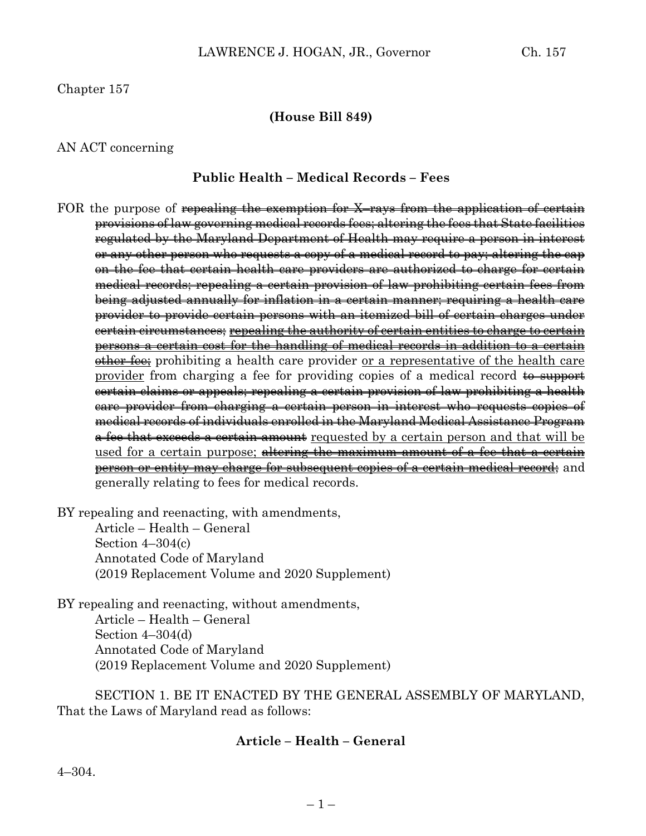Chapter 157

#### **(House Bill 849)**

#### AN ACT concerning

#### **Public Health – Medical Records – Fees**

FOR the purpose of <del>repealing the exemption for X–rays from the application of certain</del> provisions of law governing medical records fees; altering the fees that State facilities regulated by the Maryland Department of Health may require a person in interest or any other person who requests a copy of a medical record to pay; altering the cap on the fee that certain health care providers are authorized to charge for certain medical records; repealing a certain provision of law prohibiting certain fees from being adjusted annually for inflation in a certain manner; requiring a health care provider to provide certain persons with an itemized bill of certain charges under certain circumstances; repealing the authority of certain entities to charge to certain persons a certain cost for the handling of medical records in addition to a certain other fee; prohibiting a health care provider or a representative of the health care provider from charging a fee for providing copies of a medical record  $\theta$  support certain claims or appeals; repealing a certain provision of law prohibiting a health care provider from charging a certain person in interest who requests copies of medical records of individuals enrolled in the Maryland Medical Assistance Program a fee that exceeds a certain amount requested by a certain person and that will be used for a certain purpose; altering the maximum amount of a fee that a certain person or entity may charge for subsequent copies of a certain medical record; and generally relating to fees for medical records.

BY repealing and reenacting, with amendments,

Article – Health – General Section 4–304(c) Annotated Code of Maryland (2019 Replacement Volume and 2020 Supplement)

BY repealing and reenacting, without amendments, Article – Health – General Section 4–304(d) Annotated Code of Maryland (2019 Replacement Volume and 2020 Supplement)

SECTION 1. BE IT ENACTED BY THE GENERAL ASSEMBLY OF MARYLAND, That the Laws of Maryland read as follows:

#### **Article – Health – General**

4–304.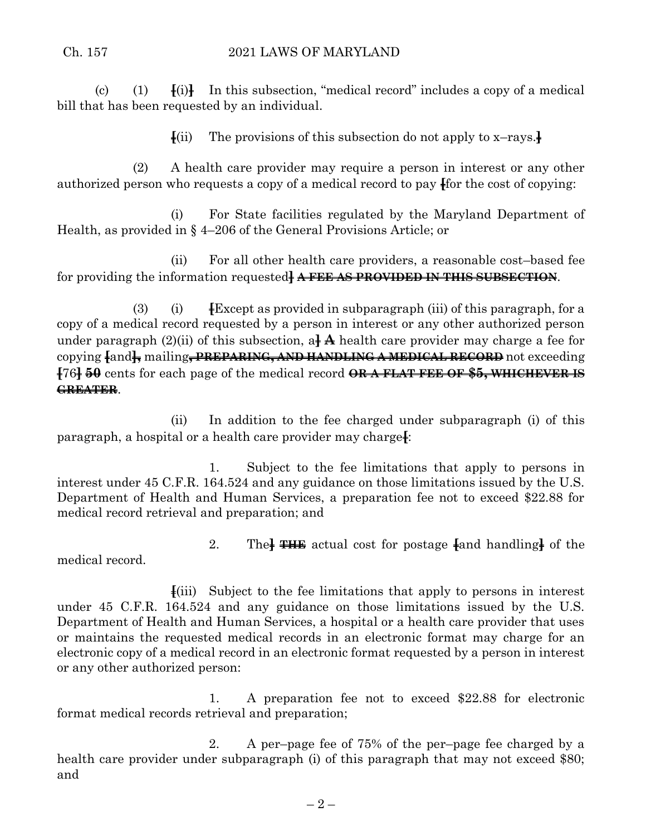(c) (1)  $\mathbf{F}(i)$  In this subsection, "medical record" includes a copy of a medical bill that has been requested by an individual.

**[**(ii) The provisions of this subsection do not apply to x–rays.**]**

(2) A health care provider may require a person in interest or any other authorized person who requests a copy of a medical record to pay **[**for the cost of copying:

(i) For State facilities regulated by the Maryland Department of Health, as provided in § 4–206 of the General Provisions Article; or

(ii) For all other health care providers, a reasonable cost–based fee for providing the information requested**] A FEE AS PROVIDED IN THIS SUBSECTION**.

(3) (i) **[**Except as provided in subparagraph (iii) of this paragraph, for a copy of a medical record requested by a person in interest or any other authorized person under paragraph  $(2)(ii)$  of this subsection, a<sup> $\uparrow$ </sup> A health care provider may charge a fee for copying **[**and**],** mailing**, PREPARING, AND HANDLING A MEDICAL RECORD** not exceeding **[**76**] 50** cents for each page of the medical record **OR A FLAT FEE OF \$5, WHICHEVER IS GREATER**.

(ii) In addition to the fee charged under subparagraph (i) of this paragraph, a hospital or a health care provider may charge**[**:

1. Subject to the fee limitations that apply to persons in interest under 45 C.F.R. 164.524 and any guidance on those limitations issued by the U.S. Department of Health and Human Services, a preparation fee not to exceed \$22.88 for medical record retrieval and preparation; and

2. The**] THE** actual cost for postage **[**and handling**]** of the

medical record.

**[**(iii) Subject to the fee limitations that apply to persons in interest under 45 C.F.R. 164.524 and any guidance on those limitations issued by the U.S. Department of Health and Human Services, a hospital or a health care provider that uses or maintains the requested medical records in an electronic format may charge for an electronic copy of a medical record in an electronic format requested by a person in interest or any other authorized person:

1. A preparation fee not to exceed \$22.88 for electronic format medical records retrieval and preparation;

2. A per–page fee of 75% of the per–page fee charged by a health care provider under subparagraph (i) of this paragraph that may not exceed \$80; and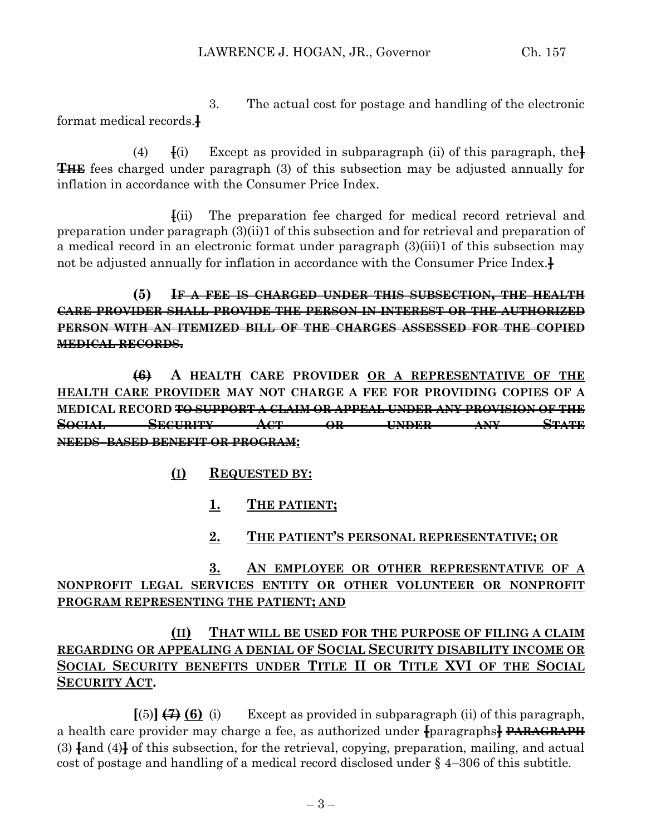3. The actual cost for postage and handling of the electronic format medical records.**]**

(4) **[**(i) Except as provided in subparagraph (ii) of this paragraph, the**] THE** fees charged under paragraph (3) of this subsection may be adjusted annually for inflation in accordance with the Consumer Price Index.

**[**(ii) The preparation fee charged for medical record retrieval and preparation under paragraph (3)(ii)1 of this subsection and for retrieval and preparation of a medical record in an electronic format under paragraph (3)(iii)1 of this subsection may not be adjusted annually for inflation in accordance with the Consumer Price Index.**]**

**(5) IF A FEE IS CHARGED UNDER THIS SUBSECTION, THE HEALTH CARE PROVIDER SHALL PROVIDE THE PERSON IN INTEREST OR THE AUTHORIZED PERSON WITH AN ITEMIZED BILL OF THE CHARGES ASSESSED FOR THE COPIED MEDICAL RECORDS.**

**(6) A HEALTH CARE PROVIDER OR A REPRESENTATIVE OF THE HEALTH CARE PROVIDER MAY NOT CHARGE A FEE FOR PROVIDING COPIES OF A MEDICAL RECORD TO SUPPORT A CLAIM OR APPEAL UNDER ANY PROVISION OF THE SOCIAL SECURITY ACT OR UNDER ANY STATE NEEDS–BASED BENEFIT OR PROGRAM:**

- **(I) REQUESTED BY:**
	- **1. THE PATIENT;**
	- **2. THE PATIENT'S PERSONAL REPRESENTATIVE; OR**

## **3. AN EMPLOYEE OR OTHER REPRESENTATIVE OF A NONPROFIT LEGAL SERVICES ENTITY OR OTHER VOLUNTEER OR NONPROFIT PROGRAM REPRESENTING THE PATIENT; AND**

# **(II) THAT WILL BE USED FOR THE PURPOSE OF FILING A CLAIM REGARDING OR APPEALING A DENIAL OF SOCIAL SECURITY DISABILITY INCOME OR SOCIAL SECURITY BENEFITS UNDER TITLE II OR TITLE XVI OF THE SOCIAL SECURITY ACT.**

 $[(5)] (7) (6)$  (i) Except as provided in subparagraph (ii) of this paragraph, a health care provider may charge a fee, as authorized under **[**paragraphs**] PARAGRAPH** (3) **[**and (4)**]** of this subsection, for the retrieval, copying, preparation, mailing, and actual cost of postage and handling of a medical record disclosed under § 4–306 of this subtitle.